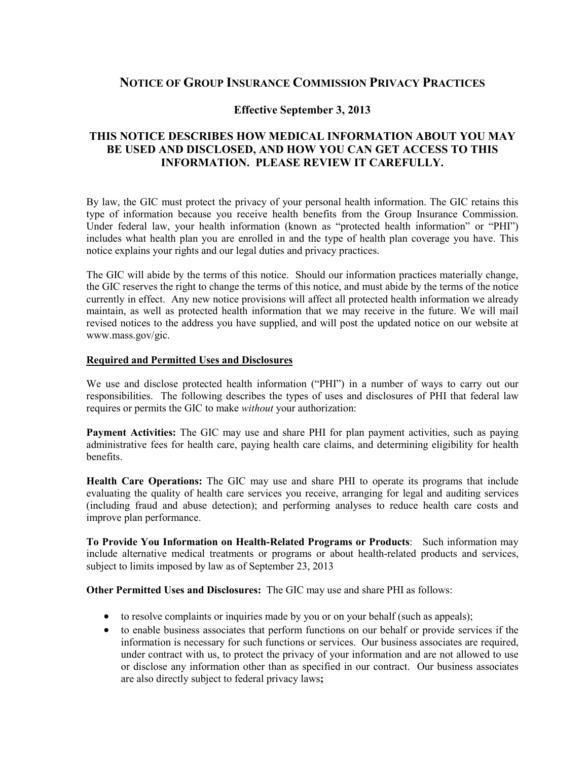# **NOTICE OF GROUP INSURANCE COMMISSION PRIVACY PRACTICES**

## **Effective September 3, 2013**

## **THIS NOTICE DESCRIBES HOW MEDICAL INFORMATION ABOUT YOU MAY BE USED AND DISCLOSED, AND HOW YOU CAN GET ACCESS TO THIS INFORMATION. PLEASE REVIEW IT CAREFULLY.**

By law, the GIC must protect the privacy of your personal health information. The GIC retains this type of information because you receive health benefits from the Group Insurance Commission. Under federal law, your health information (known as "protected health information" or "PHI") includes what health plan you are enrolled in and the type of health plan coverage you have. This notice explains your rights and our legal duties and privacy practices.

The GIC will abide by the terms of this notice. Should our information practices materially change, the GIC reserves the right to change the terms of this notice, and must abide by the terms of the notice currently in effect. Any new notice provisions will affect all protected health information we already maintain, as well as protected health information that we may receive in the future. We will mail revised notices to the address you have supplied, and will post the updated notice on our website at www.mass.gov/gic.

#### **Required and Permitted Uses and Disclosures**

We use and disclose protected health information ("PHI") in a number of ways to carry out our responsibilities. The following describes the types of uses and disclosures of PHI that federal law requires or permits the GIC to make *without* your authorization:

**Payment Activities:** The GIC may use and share PHI for plan payment activities, such as paying administrative fees for health care, paying health care claims, and determining eligibility for health benefits.

**Health Care Operations:** The GIC may use and share PHI to operate its programs that include evaluating the quality of health care services you receive, arranging for legal and auditing services (including fraud and abuse detection); and performing analyses to reduce health care costs and improve plan performance.

**To Provide You Information on Health-Related Programs or Products**: Such information may include alternative medical treatments or programs or about health-related products and services, subject to limits imposed by law as of September 23, 2013

**Other Permitted Uses and Disclosures:** The GIC may use and share PHI as follows:

- to resolve complaints or inquiries made by you or on your behalf (such as appeals);
- to enable business associates that perform functions on our behalf or provide services if the information is necessary for such functions or services. Our business associates are required, under contract with us, to protect the privacy of your information and are not allowed to use or disclose any information other than as specified in our contract. Our business associates are also directly subject to federal privacy laws**;**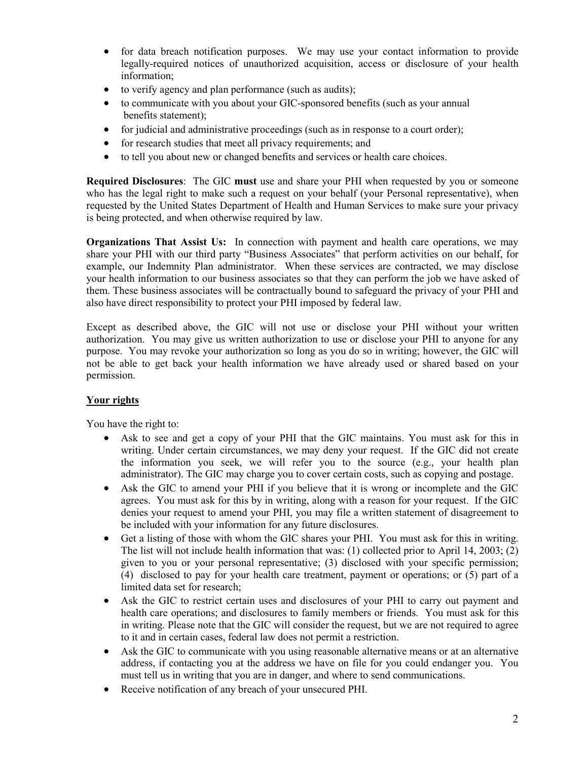- for data breach notification purposes. We may use your contact information to provide legally-required notices of unauthorized acquisition, access or disclosure of your health information;
- to verify agency and plan performance (such as audits);
- to communicate with you about your GIC-sponsored benefits (such as your annual benefits statement);
- for judicial and administrative proceedings (such as in response to a court order);
- for research studies that meet all privacy requirements; and
- to tell you about new or changed benefits and services or health care choices.

**Required Disclosures**: The GIC **must** use and share your PHI when requested by you or someone who has the legal right to make such a request on your behalf (your Personal representative), when requested by the United States Department of Health and Human Services to make sure your privacy is being protected, and when otherwise required by law.

**Organizations That Assist Us:** In connection with payment and health care operations, we may share your PHI with our third party "Business Associates" that perform activities on our behalf, for example, our Indemnity Plan administrator. When these services are contracted, we may disclose your health information to our business associates so that they can perform the job we have asked of them. These business associates will be contractually bound to safeguard the privacy of your PHI and also have direct responsibility to protect your PHI imposed by federal law.

Except as described above, the GIC will not use or disclose your PHI without your written authorization. You may give us written authorization to use or disclose your PHI to anyone for any purpose. You may revoke your authorization so long as you do so in writing; however, the GIC will not be able to get back your health information we have already used or shared based on your permission.

## **Your rights**

You have the right to:

- Ask to see and get a copy of your PHI that the GIC maintains. You must ask for this in writing. Under certain circumstances, we may deny your request. If the GIC did not create the information you seek, we will refer you to the source (e.g., your health plan administrator). The GIC may charge you to cover certain costs, such as copying and postage.
- Ask the GIC to amend your PHI if you believe that it is wrong or incomplete and the GIC agrees. You must ask for this by in writing, along with a reason for your request. If the GIC denies your request to amend your PHI, you may file a written statement of disagreement to be included with your information for any future disclosures.
- Get a listing of those with whom the GIC shares your PHI. You must ask for this in writing. The list will not include health information that was: (1) collected prior to April 14, 2003; (2) given to you or your personal representative; (3) disclosed with your specific permission; (4) disclosed to pay for your health care treatment, payment or operations; or (5) part of a limited data set for research;
- Ask the GIC to restrict certain uses and disclosures of your PHI to carry out payment and health care operations; and disclosures to family members or friends. You must ask for this in writing. Please note that the GIC will consider the request, but we are not required to agree to it and in certain cases, federal law does not permit a restriction.
- Ask the GIC to communicate with you using reasonable alternative means or at an alternative address, if contacting you at the address we have on file for you could endanger you. You must tell us in writing that you are in danger, and where to send communications.
- Receive notification of any breach of your unsecured PHI.